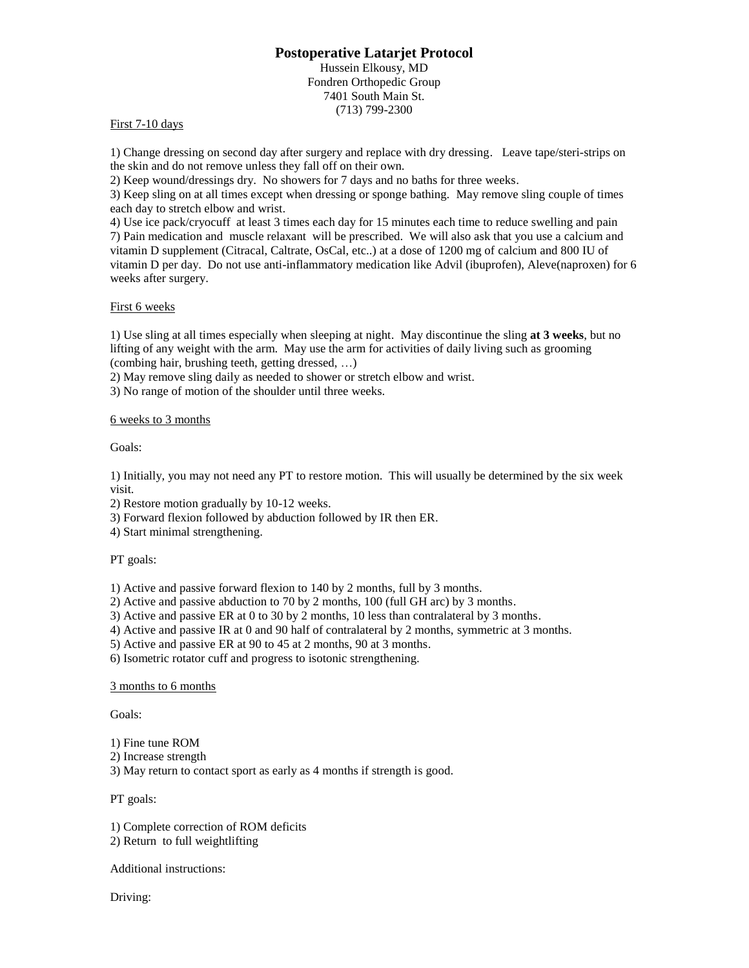# **Postoperative Latarjet Protocol**

Hussein Elkousy, MD Fondren Orthopedic Group 7401 South Main St. (713) 799-2300

## First 7-10 days

1) Change dressing on second day after surgery and replace with dry dressing. Leave tape/steri-strips on the skin and do not remove unless they fall off on their own.

2) Keep wound/dressings dry. No showers for 7 days and no baths for three weeks.

3) Keep sling on at all times except when dressing or sponge bathing. May remove sling couple of times each day to stretch elbow and wrist.

4) Use ice pack/cryocuff at least 3 times each day for 15 minutes each time to reduce swelling and pain 7) Pain medication and muscle relaxant will be prescribed. We will also ask that you use a calcium and vitamin D supplement (Citracal, Caltrate, OsCal, etc..) at a dose of 1200 mg of calcium and 800 IU of vitamin D per day. Do not use anti-inflammatory medication like Advil (ibuprofen), Aleve(naproxen) for 6 weeks after surgery.

### First 6 weeks

1) Use sling at all times especially when sleeping at night. May discontinue the sling **at 3 weeks**, but no lifting of any weight with the arm. May use the arm for activities of daily living such as grooming (combing hair, brushing teeth, getting dressed, …)

2) May remove sling daily as needed to shower or stretch elbow and wrist.

3) No range of motion of the shoulder until three weeks.

### 6 weeks to 3 months

Goals:

1) Initially, you may not need any PT to restore motion. This will usually be determined by the six week visit.

2) Restore motion gradually by 10-12 weeks.

3) Forward flexion followed by abduction followed by IR then ER.

4) Start minimal strengthening.

#### PT goals:

1) Active and passive forward flexion to 140 by 2 months, full by 3 months.

2) Active and passive abduction to 70 by 2 months, 100 (full GH arc) by 3 months.

3) Active and passive ER at 0 to 30 by 2 months, 10 less than contralateral by 3 months.

4) Active and passive IR at 0 and 90 half of contralateral by 2 months, symmetric at 3 months.

5) Active and passive ER at 90 to 45 at 2 months, 90 at 3 months.

6) Isometric rotator cuff and progress to isotonic strengthening.

#### 3 months to 6 months

Goals:

1) Fine tune ROM

2) Increase strength

3) May return to contact sport as early as 4 months if strength is good.

# PT goals:

1) Complete correction of ROM deficits

2) Return to full weightlifting

Additional instructions:

Driving: